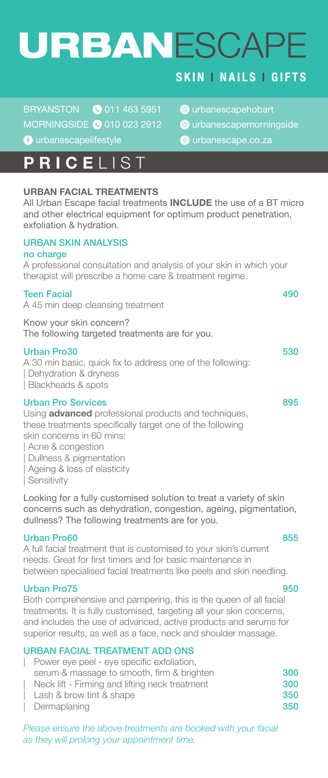# URBANESCAPE

BRYANSTON @ 011 463 5951 @ urbanescapehobart MORNINGSIDE @ 010 023 2912 @ urbanescapemorningside **C** urbanescapelifestyle **C** urbanescape.co.za

### **PRICE** LIST

### **URBAN FACIAL TREATMENTS**

All Urban Escape facial treatments **INCLUDE** the use of a BT micro and other electrical equipment for optimum product penetration, exfoliation & hydration.

### URBAN SKIN ANALYSIS

#### no charge

A professional consultation and analysis of your skin in which your therapist will prescribe a home care & treatment regime.

| <b>Teen Facial</b><br>A 45 min deep cleansing treatment                                            | 490 |
|----------------------------------------------------------------------------------------------------|-----|
| Know your skin concern?<br>The following targeted treatments are for you.                          |     |
| Urban Pro30<br>A 30 min basic, quick fix to address one of the following:<br>Dehydration & dryness | 530 |

| Blackheads & spots

### Urban Pro Services 895

Using **advanced** professional products and techniques, these treatments specifically target one of the following

skin concerns in 60 mins:

| Acne & congestion

| Dullness & pigmentation

| Ageing & loss of elasticity

| Sensitivity

Looking for a fully customised solution to treat a variety of skin concerns such as dehydration, congestion, ageing, pigmentation, dullness? The following treatments are for you.

#### Urban Pro60 855

A full facial treatment that is customised to your skin's current needs. Great for first timers and for basic maintenance in between specialised facial treatments like peels and skin needling.

#### Urban Pro75 950

Both comprehensive and pampering, this is the queen of all facial treatments. It is fully customised, targeting all your skin concerns, and includes the use of advanced, active products and serums for superior results, as well as a face, neck and shoulder massage.

### URBAN FACIAL TREATMENT ADD ONS

- | Power eye peel eye specific exfoliation, serum & massage to smooth, firm & brighten 300<br>Neck lift - Firming and lifting neck treatment 300 Neck lift - Firming and lifting neck treatment
- Lash & brow tint & shape 350
- | Dermaplaning 350

*Please ensure the above treatments are booked with your facial as they will prolong your appointment time.*

### **SKIN | NAILS | GIFTS**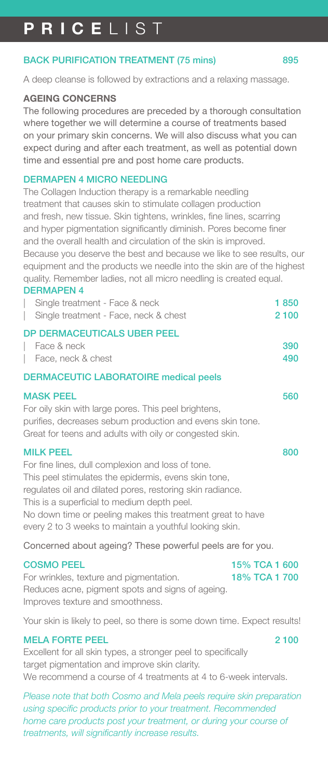#### BACK PURIFICATION TREATMENT (75 mins) 895

A deep cleanse is followed by extractions and a relaxing massage.

#### **AGEING CONCERNS**

The following procedures are preceded by a thorough consultation where together we will determine a course of treatments based on your primary skin concerns. We will also discuss what you can expect during and after each treatment, as well as potential down time and essential pre and post home care products.

#### DERMAPEN 4 MICRO NEEDLING

The Collagen Induction therapy is a remarkable needling treatment that causes skin to stimulate collagen production and fresh, new tissue. Skin tightens, wrinkles, fine lines, scarring and hyper pigmentation significantly diminish. Pores become finer and the overall health and circulation of the skin is improved. Because you deserve the best and because we like to see results, our equipment and the products we needle into the skin are of the highest quality. Remember ladies, not all micro needling is created equal.

#### DERMAPEN 4

| <b>ULIND LIVT</b><br>Single treatment - Face & neck                                                                                                                                                                                                                                                                                                                | 1850       |
|--------------------------------------------------------------------------------------------------------------------------------------------------------------------------------------------------------------------------------------------------------------------------------------------------------------------------------------------------------------------|------------|
| Single treatment - Face, neck & chest                                                                                                                                                                                                                                                                                                                              | 2 100      |
| <b>DP DERMACEUTICALS UBER PEEL</b>                                                                                                                                                                                                                                                                                                                                 |            |
| Face & neck<br>Face, neck & chest<br>L                                                                                                                                                                                                                                                                                                                             | 390<br>490 |
| <b>DERMACEUTIC LABORATOIRE medical peels</b>                                                                                                                                                                                                                                                                                                                       |            |
|                                                                                                                                                                                                                                                                                                                                                                    |            |
| <b>MASK PEEL</b><br>For oily skin with large pores. This peel brightens,<br>purifies, decreases sebum production and evens skin tone.<br>Great for teens and adults with oily or congested skin.                                                                                                                                                                   | 560        |
| <b>MILK PEEL</b><br>For fine lines, dull complexion and loss of tone.<br>This peel stimulates the epidermis, evens skin tone,<br>regulates oil and dilated pores, restoring skin radiance.<br>This is a superficial to medium depth peel.<br>No down time or peeling makes this treatment great to have<br>every 2 to 3 weeks to maintain a youthful looking skin. | 800        |
| Concerned about ageing? These powerful peels are for you.                                                                                                                                                                                                                                                                                                          |            |
|                                                                                                                                                                                                                                                                                                                                                                    |            |

| <b>COSMO PEEL</b>                                | 15% TCA 1 600 |  |
|--------------------------------------------------|---------------|--|
| For wrinkles, texture and pigmentation.          | 18% TCA 1 700 |  |
| Reduces acne, pigment spots and signs of ageing. |               |  |
| Improves texture and smoothness.                 |               |  |
|                                                  |               |  |

Your skin is likely to peel, so there is some down time. Expect results!

#### MELA FORTE PEEL 2 100

Excellent for all skin types, a stronger peel to specifically target pigmentation and improve skin clarity. We recommend a course of 4 treatments at 4 to 6-week intervals.

*Please note that both Cosmo and Mela peels require skin preparation using specific products prior to your treatment. Recommended home care products post your treatment, or during your course of treatments, will significantly increase results.*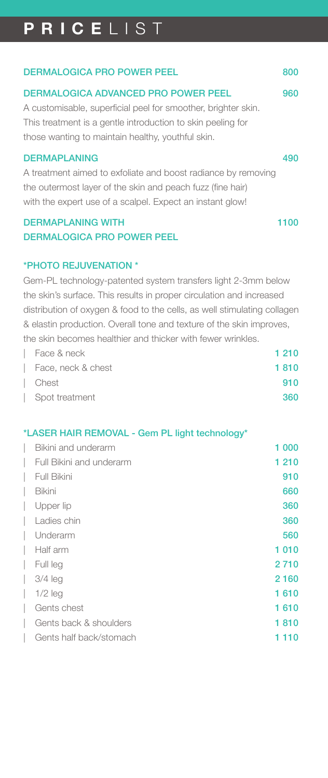| <b>DERMALOGICA ADVANCED PRO POWER PEEL</b><br>A customisable, superficial peel for smoother, brighter skin.<br>This treatment is a gentle introduction to skin peeling for<br>those wanting to maintain healthy, youthful skin.<br><b>DERMAPLANING</b><br>A treatment aimed to exfoliate and boost radiance by removing<br>the outermost layer of the skin and peach fuzz (fine hair)<br>with the expert use of a scalpel. Expect an instant glow! | <b>DERMALOGICA PRO POWER PEEL</b> | 800 |
|----------------------------------------------------------------------------------------------------------------------------------------------------------------------------------------------------------------------------------------------------------------------------------------------------------------------------------------------------------------------------------------------------------------------------------------------------|-----------------------------------|-----|
|                                                                                                                                                                                                                                                                                                                                                                                                                                                    |                                   | 960 |
|                                                                                                                                                                                                                                                                                                                                                                                                                                                    |                                   |     |
|                                                                                                                                                                                                                                                                                                                                                                                                                                                    |                                   |     |
|                                                                                                                                                                                                                                                                                                                                                                                                                                                    |                                   |     |
|                                                                                                                                                                                                                                                                                                                                                                                                                                                    |                                   | 490 |
|                                                                                                                                                                                                                                                                                                                                                                                                                                                    |                                   |     |
|                                                                                                                                                                                                                                                                                                                                                                                                                                                    |                                   |     |
|                                                                                                                                                                                                                                                                                                                                                                                                                                                    |                                   |     |

### DERMAPLANING WITH 1100 DERMALOGICA PRO POWER PEEL

### \*PHOTO REJUVENATION \*

Gem-PL technology-patented system transfers light 2-3mm below the skin's surface. This results in proper circulation and increased distribution of oxygen & food to the cells, as well stimulating collagen & elastin production. Overall tone and texture of the skin improves, the skin becomes healthier and thicker with fewer wrinkles.

| Face & neck        | 1 2 1 0 |
|--------------------|---------|
| Face, neck & chest | 1810    |
| Chest              | 910     |
| Spot treatment     | 360     |

### \*LASER HAIR REMOVAL - Gem PL light technology\*

| Bikini and underarm      | 1 000   |
|--------------------------|---------|
| Full Bikini and underarm | 1 2 1 0 |
| Full Bikini              | 910     |
| Bikini                   | 660     |
| Upper lip                | 360     |
| Ladies chin              | 360     |
| Underarm                 | 560     |
| Half arm                 | 1010    |
| Full leg                 | 2710    |
| $3/4$ leg                | 2160    |
| $1/2$ leg                | 1610    |
| Gents chest              | 1610    |
| Gents back & shoulders   | 1810    |
| Gents half back/stomach  | 1 110   |
|                          |         |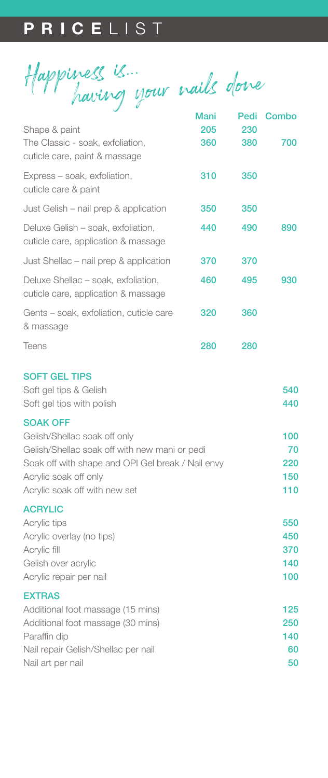Happiness is... having your nails done Mani Pedi Combo

|                                                                            | manı | Peal | Compo |
|----------------------------------------------------------------------------|------|------|-------|
| Shape & paint                                                              | 205  | 230  |       |
| The Classic - soak, exfoliation,<br>cuticle care, paint & massage          | 360  | 380  | 700   |
| Express – soak, exfoliation,<br>cuticle care & paint                       | 310  | 350  |       |
| Just Gelish – nail prep & application                                      | 350  | 350  |       |
| Deluxe Gelish - soak, exfoliation,<br>cuticle care, application & massage  | 440  | 490  | 890   |
| Just Shellac – nail prep & application                                     | 370  | 370  |       |
| Deluxe Shellac - soak, exfoliation,<br>cuticle care, application & massage | 460  | 495  | 930   |
| Gents - soak, exfoliation, cuticle care<br>& massage                       | 320  | 360  |       |
| <b>Teens</b>                                                               | 280  | 280  |       |

#### SOFT GEL TIPS

| Soft gel tips & Gelish                            | 540 |
|---------------------------------------------------|-----|
| Soft gel tips with polish                         | 440 |
| <b>SOAK OFF</b>                                   |     |
| Gelish/Shellac soak off only                      | 100 |
| Gelish/Shellac soak off with new mani or pedi     | 70  |
| Soak off with shape and OPI Gel break / Nail envy | 220 |
| Acrylic soak off only                             | 150 |
| Acrylic soak off with new set                     | 110 |
| <b>ACRYLIC</b>                                    |     |
| Acrylic tips                                      | 550 |
| Acrylic overlay (no tips)                         | 450 |
| Acrylic fill                                      | 370 |
| Gelish over acrylic                               | 140 |
| Acrylic repair per nail                           | 100 |
| <b>EXTRAS</b>                                     |     |
| Additional foot massage (15 mins)                 | 125 |
| Additional foot massage (30 mins)                 | 250 |
| Paraffin dip                                      | 140 |
| Nail repair Gelish/Shellac per nail               | 60  |
| Nail art per nail                                 | 50  |
|                                                   |     |